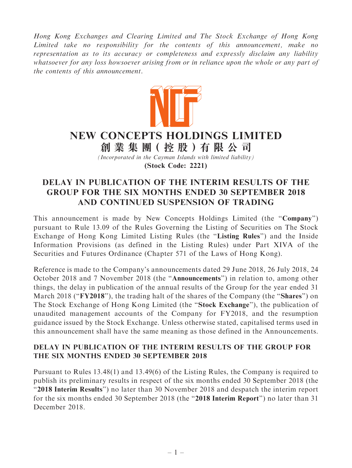Hong Kong Exchanges and Clearing Limited and The Stock Exchange of Hong Kong Limited take no responsibility for the contents of this announcement, make no representation as to its accuracy or completeness and expressly disclaim any liability whatsoever for any loss howsoever arising from or in reliance upon the whole or any part of the contents of this announcement.



## NEW CONCEPTS HOLDINGS LIMITED

創 業 集 團( 控 股 )有 限 公 司

(Incorporated in the Cayman Islands with limited liability)

(Stock Code: 2221)

## DELAY IN PUBLICATION OF THE INTERIM RESULTS OF THE GROUP FOR THE SIX MONTHS ENDED 30 SEPTEMBER 2018 AND CONTINUED SUSPENSION OF TRADING

This announcement is made by New Concepts Holdings Limited (the "Company") pursuant to Rule 13.09 of the Rules Governing the Listing of Securities on The Stock Exchange of Hong Kong Limited Listing Rules (the ''Listing Rules'') and the Inside Information Provisions (as defined in the Listing Rules) under Part XIVA of the Securities and Futures Ordinance (Chapter 571 of the Laws of Hong Kong).

Reference is made to the Company's announcements dated 29 June 2018, 26 July 2018, 24 October 2018 and 7 November 2018 (the ''Announcements'') in relation to, among other things, the delay in publication of the annual results of the Group for the year ended 31 March 2018 ("FY2018"), the trading halt of the shares of the Company (the "Shares") on The Stock Exchange of Hong Kong Limited (the ''Stock Exchange''), the publication of unaudited management accounts of the Company for FY2018, and the resumption guidance issued by the Stock Exchange. Unless otherwise stated, capitalised terms used in this announcement shall have the same meaning as those defined in the Announcements.

## DELAY IN PUBLICATION OF THE INTERIM RESULTS OF THE GROUP FOR THE SIX MONTHS ENDED 30 SEPTEMBER 2018

Pursuant to Rules 13.48(1) and 13.49(6) of the Listing Rules, the Company is required to publish its preliminary results in respect of the six months ended 30 September 2018 (the ''2018 Interim Results'') no later than 30 November 2018 and despatch the interim report for the six months ended 30 September 2018 (the "2018 Interim Report") no later than 31 December 2018.